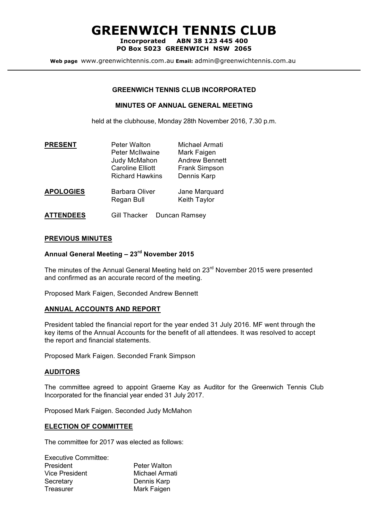# **GREENWICH TENNIS CLUB**

**Incorporated ABN 38 123 445 400 PO Box 5023 GREENWICH NSW 2065**

**Web page** www.greenwichtennis.com.au **Email:** admin@greenwichtennis.com.au

### **GREENWICH TENNIS CLUB INCORPORATED**

#### **MINUTES OF ANNUAL GENERAL MEETING**

held at the clubhouse, Monday 28th November 2016, 7.30 p.m.

| <b>PRESENT</b>   | <b>Peter Walton</b><br><b>Peter McIlwaine</b><br>Judy McMahon<br><b>Caroline Elliott</b><br><b>Richard Hawkins</b> | Michael Armati<br>Mark Faigen<br><b>Andrew Bennett</b><br><b>Frank Simpson</b><br>Dennis Karp |
|------------------|--------------------------------------------------------------------------------------------------------------------|-----------------------------------------------------------------------------------------------|
| <b>APOLOGIES</b> | <b>Barbara Oliver</b><br>Regan Bull                                                                                | Jane Marquard<br>Keith Taylor                                                                 |
| <b>ATTENDEES</b> | <b>Gill Thacker</b>                                                                                                | Duncan Ramsey                                                                                 |

**PREVIOUS MINUTES**

## **Annual General Meeting – 23rd November 2015**

The minutes of the Annual General Meeting held on 23<sup>rd</sup> November 2015 were presented and confirmed as an accurate record of the meeting.

Proposed Mark Faigen, Seconded Andrew Bennett

#### **ANNUAL ACCOUNTS AND REPORT**

President tabled the financial report for the year ended 31 July 2016. MF went through the key items of the Annual Accounts for the benefit of all attendees. It was resolved to accept the report and financial statements.

Proposed Mark Faigen. Seconded Frank Simpson

#### **AUDITORS**

The committee agreed to appoint Graeme Kay as Auditor for the Greenwich Tennis Club Incorporated for the financial year ended 31 July 2017.

Proposed Mark Faigen. Seconded Judy McMahon

#### **ELECTION OF COMMITTEE**

The committee for 2017 was elected as follows:

| <b>Executive Committee:</b> |                     |
|-----------------------------|---------------------|
| President                   | <b>Peter Walton</b> |
| <b>Vice President</b>       | Michael Armati      |
| Secretary                   | Dennis Karp         |
| Treasurer                   | Mark Faigen         |
|                             |                     |